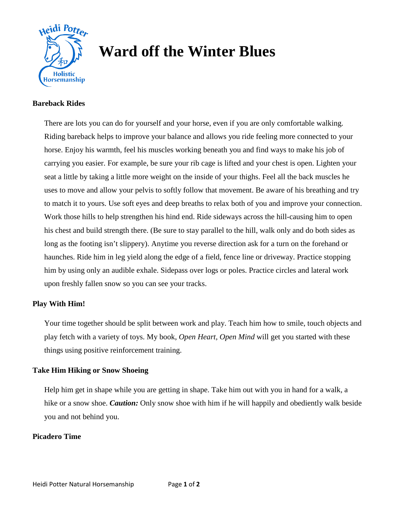

# **Ward off the Winter Blues**

#### **Bareback Rides**

There are lots you can do for yourself and your horse, even if you are only comfortable walking. Riding bareback helps to improve your balance and allows you ride feeling more connected to your horse. Enjoy his warmth, feel his muscles working beneath you and find ways to make his job of carrying you easier. For example, be sure your rib cage is lifted and your chest is open. Lighten your seat a little by taking a little more weight on the inside of your thighs. Feel all the back muscles he uses to move and allow your pelvis to softly follow that movement. Be aware of his breathing and try to match it to yours. Use soft eyes and deep breaths to relax both of you and improve your connection. Work those hills to help strengthen his hind end. Ride sideways across the hill-causing him to open his chest and build strength there. (Be sure to stay parallel to the hill, walk only and do both sides as long as the footing isn't slippery). Anytime you reverse direction ask for a turn on the forehand or haunches. Ride him in leg yield along the edge of a field, fence line or driveway. Practice stopping him by using only an audible exhale. Sidepass over logs or poles. Practice circles and lateral work upon freshly fallen snow so you can see your tracks.

### **Play With Him!**

Your time together should be split between work and play. Teach him how to smile, touch objects and play fetch with a variety of toys. My book, *Open Heart, Open Mind* will get you started with these things using positive reinforcement training.

### **Take Him Hiking or Snow Shoeing**

Help him get in shape while you are getting in shape. Take him out with you in hand for a walk, a hike or a snow shoe. *Caution*: Only snow shoe with him if he will happily and obediently walk beside you and not behind you.

### **Picadero Time**